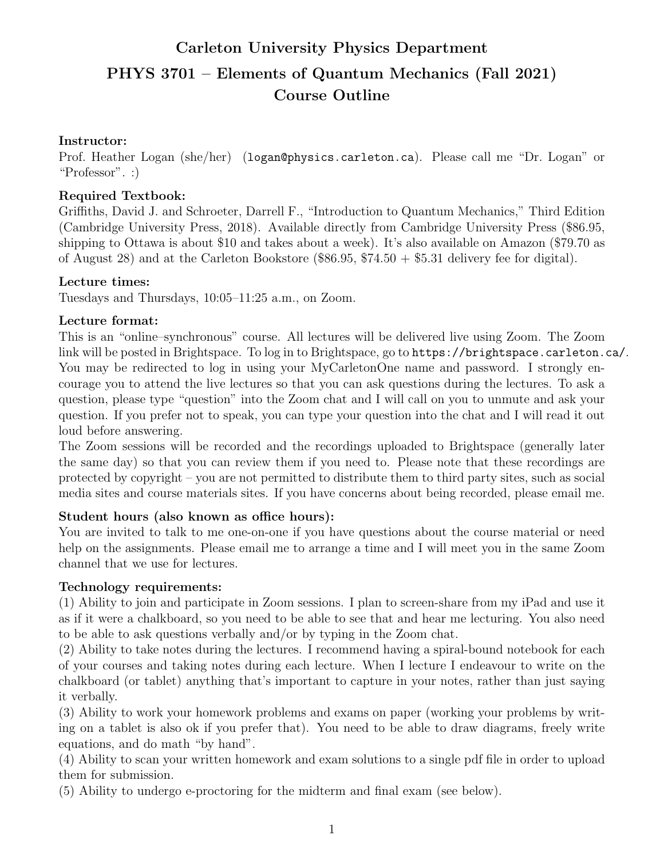# Carleton University Physics Department PHYS 3701 – Elements of Quantum Mechanics (Fall 2021) Course Outline

#### Instructor:

Prof. Heather Logan (she/her) (logan@physics.carleton.ca). Please call me "Dr. Logan" or "Professor". :)

#### Required Textbook:

Griffiths, David J. and Schroeter, Darrell F., "Introduction to Quantum Mechanics," Third Edition (Cambridge University Press, 2018). Available directly from Cambridge University Press (\$86.95, shipping to Ottawa is about \$10 and takes about a week). It's also available on Amazon (\$79.70 as of August 28) and at the Carleton Bookstore (\$86.95,  $$74.50 + $5.31$  delivery fee for digital).

#### Lecture times:

Tuesdays and Thursdays, 10:05–11:25 a.m., on Zoom.

#### Lecture format:

This is an "online–synchronous" course. All lectures will be delivered live using Zoom. The Zoom link will be posted in Brightspace. To log in to Brightspace, go to https://brightspace.carleton.ca/. You may be redirected to log in using your MyCarletonOne name and password. I strongly encourage you to attend the live lectures so that you can ask questions during the lectures. To ask a question, please type "question" into the Zoom chat and I will call on you to unmute and ask your question. If you prefer not to speak, you can type your question into the chat and I will read it out loud before answering.

The Zoom sessions will be recorded and the recordings uploaded to Brightspace (generally later the same day) so that you can review them if you need to. Please note that these recordings are protected by copyright – you are not permitted to distribute them to third party sites, such as social media sites and course materials sites. If you have concerns about being recorded, please email me.

#### Student hours (also known as office hours):

You are invited to talk to me one-on-one if you have questions about the course material or need help on the assignments. Please email me to arrange a time and I will meet you in the same Zoom channel that we use for lectures.

#### Technology requirements:

(1) Ability to join and participate in Zoom sessions. I plan to screen-share from my iPad and use it as if it were a chalkboard, so you need to be able to see that and hear me lecturing. You also need to be able to ask questions verbally and/or by typing in the Zoom chat.

(2) Ability to take notes during the lectures. I recommend having a spiral-bound notebook for each of your courses and taking notes during each lecture. When I lecture I endeavour to write on the chalkboard (or tablet) anything that's important to capture in your notes, rather than just saying it verbally.

(3) Ability to work your homework problems and exams on paper (working your problems by writing on a tablet is also ok if you prefer that). You need to be able to draw diagrams, freely write equations, and do math "by hand".

(4) Ability to scan your written homework and exam solutions to a single pdf file in order to upload them for submission.

(5) Ability to undergo e-proctoring for the midterm and final exam (see below).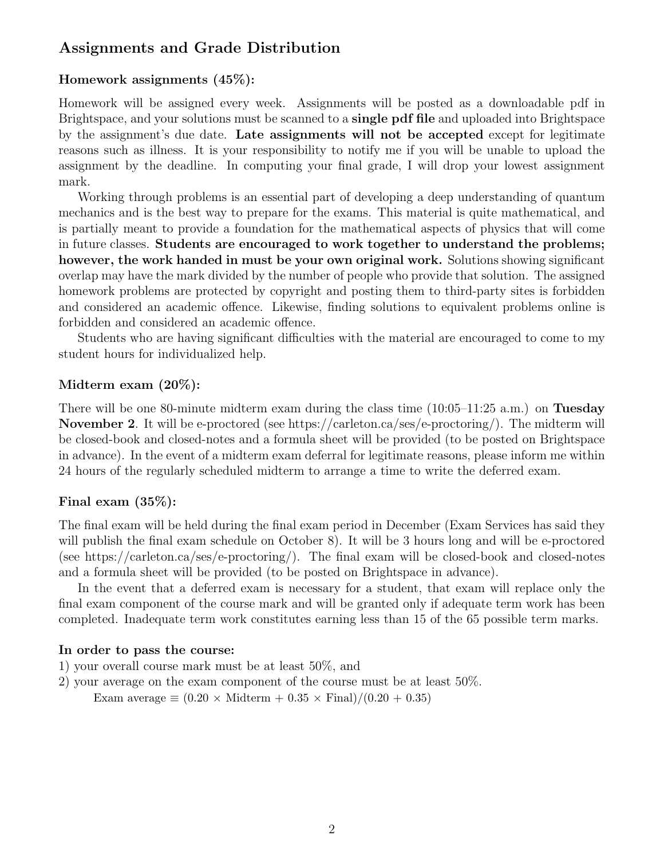# Assignments and Grade Distribution

#### Homework assignments (45%):

Homework will be assigned every week. Assignments will be posted as a downloadable pdf in Brightspace, and your solutions must be scanned to a single pdf file and uploaded into Brightspace by the assignment's due date. Late assignments will not be accepted except for legitimate reasons such as illness. It is your responsibility to notify me if you will be unable to upload the assignment by the deadline. In computing your final grade, I will drop your lowest assignment mark.

Working through problems is an essential part of developing a deep understanding of quantum mechanics and is the best way to prepare for the exams. This material is quite mathematical, and is partially meant to provide a foundation for the mathematical aspects of physics that will come in future classes. Students are encouraged to work together to understand the problems; however, the work handed in must be your own original work. Solutions showing significant overlap may have the mark divided by the number of people who provide that solution. The assigned homework problems are protected by copyright and posting them to third-party sites is forbidden and considered an academic offence. Likewise, finding solutions to equivalent problems online is forbidden and considered an academic offence.

Students who are having significant difficulties with the material are encouraged to come to my student hours for individualized help.

#### Midterm exam (20%):

There will be one 80-minute midterm exam during the class time  $(10:05-11:25 \text{ a.m.})$  on Tuesday November 2. It will be e-proctored (see https://carleton.ca/ses/e-proctoring/). The midterm will be closed-book and closed-notes and a formula sheet will be provided (to be posted on Brightspace in advance). In the event of a midterm exam deferral for legitimate reasons, please inform me within 24 hours of the regularly scheduled midterm to arrange a time to write the deferred exam.

#### Final exam (35%):

The final exam will be held during the final exam period in December (Exam Services has said they will publish the final exam schedule on October 8). It will be 3 hours long and will be e-proctored (see https://carleton.ca/ses/e-proctoring/). The final exam will be closed-book and closed-notes and a formula sheet will be provided (to be posted on Brightspace in advance).

In the event that a deferred exam is necessary for a student, that exam will replace only the final exam component of the course mark and will be granted only if adequate term work has been completed. Inadequate term work constitutes earning less than 15 of the 65 possible term marks.

#### In order to pass the course:

- 1) your overall course mark must be at least 50%, and
- 2) your average on the exam component of the course must be at least 50%.
	- Exam average  $\equiv (0.20 \times \text{Midterm} + 0.35 \times \text{Final})/(0.20 + 0.35)$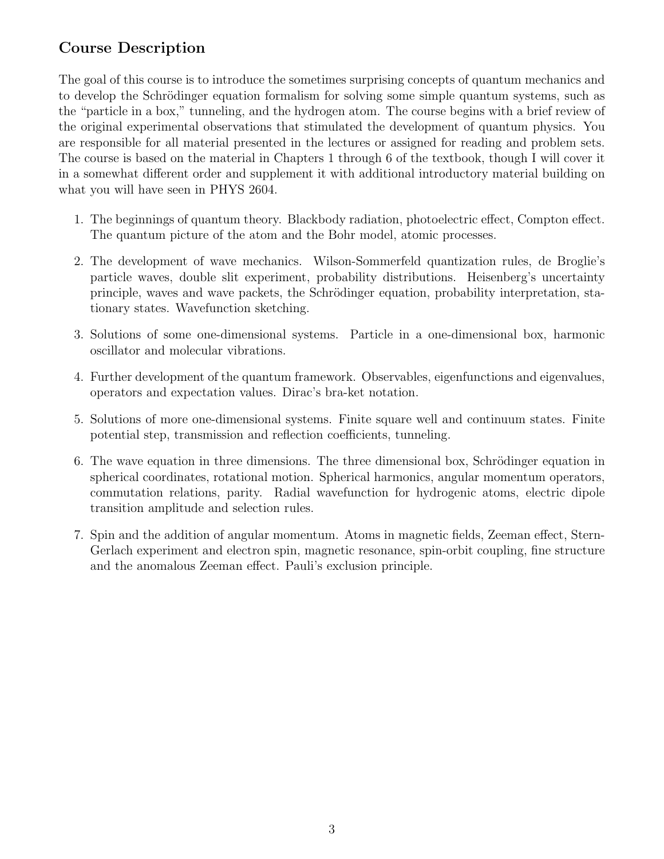# Course Description

The goal of this course is to introduce the sometimes surprising concepts of quantum mechanics and to develop the Schrödinger equation formalism for solving some simple quantum systems, such as the "particle in a box," tunneling, and the hydrogen atom. The course begins with a brief review of the original experimental observations that stimulated the development of quantum physics. You are responsible for all material presented in the lectures or assigned for reading and problem sets. The course is based on the material in Chapters 1 through 6 of the textbook, though I will cover it in a somewhat different order and supplement it with additional introductory material building on what you will have seen in PHYS 2604.

- 1. The beginnings of quantum theory. Blackbody radiation, photoelectric effect, Compton effect. The quantum picture of the atom and the Bohr model, atomic processes.
- 2. The development of wave mechanics. Wilson-Sommerfeld quantization rules, de Broglie's particle waves, double slit experiment, probability distributions. Heisenberg's uncertainty principle, waves and wave packets, the Schrödinger equation, probability interpretation, stationary states. Wavefunction sketching.
- 3. Solutions of some one-dimensional systems. Particle in a one-dimensional box, harmonic oscillator and molecular vibrations.
- 4. Further development of the quantum framework. Observables, eigenfunctions and eigenvalues, operators and expectation values. Dirac's bra-ket notation.
- 5. Solutions of more one-dimensional systems. Finite square well and continuum states. Finite potential step, transmission and reflection coefficients, tunneling.
- 6. The wave equation in three dimensions. The three dimensional box, Schrödinger equation in spherical coordinates, rotational motion. Spherical harmonics, angular momentum operators, commutation relations, parity. Radial wavefunction for hydrogenic atoms, electric dipole transition amplitude and selection rules.
- 7. Spin and the addition of angular momentum. Atoms in magnetic fields, Zeeman effect, Stern-Gerlach experiment and electron spin, magnetic resonance, spin-orbit coupling, fine structure and the anomalous Zeeman effect. Pauli's exclusion principle.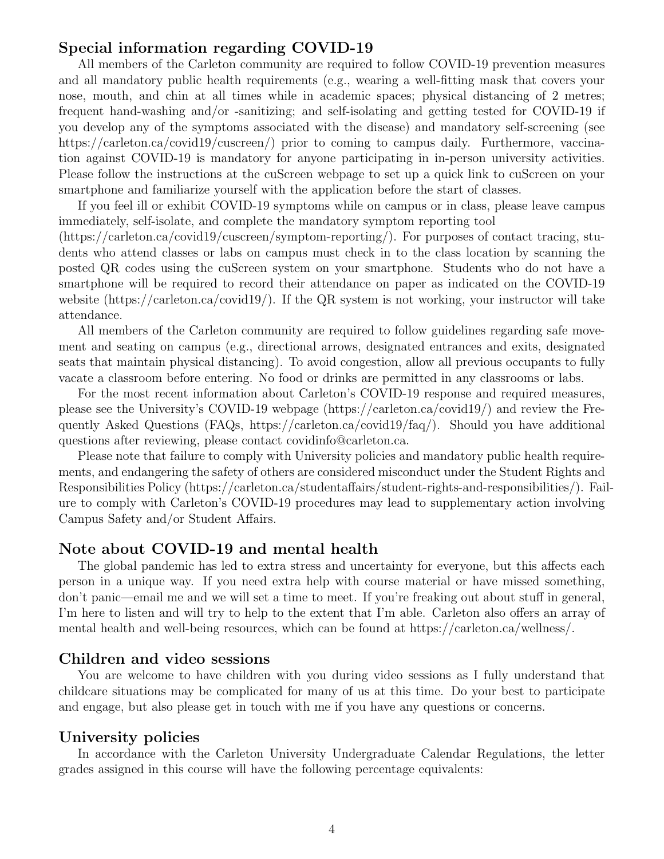#### Special information regarding COVID-19

All members of the Carleton community are required to follow COVID-19 prevention measures and all mandatory public health requirements (e.g., wearing a well-fitting mask that covers your nose, mouth, and chin at all times while in academic spaces; physical distancing of 2 metres; frequent hand-washing and/or -sanitizing; and self-isolating and getting tested for COVID-19 if you develop any of the symptoms associated with the disease) and mandatory self-screening (see https://carleton.ca/covid19/cuscreen/) prior to coming to campus daily. Furthermore, vaccination against COVID-19 is mandatory for anyone participating in in-person university activities. Please follow the instructions at the cuScreen webpage to set up a quick link to cuScreen on your smartphone and familiarize yourself with the application before the start of classes.

If you feel ill or exhibit COVID-19 symptoms while on campus or in class, please leave campus immediately, self-isolate, and complete the mandatory symptom reporting tool

(https://carleton.ca/covid19/cuscreen/symptom-reporting/). For purposes of contact tracing, students who attend classes or labs on campus must check in to the class location by scanning the posted QR codes using the cuScreen system on your smartphone. Students who do not have a smartphone will be required to record their attendance on paper as indicated on the COVID-19 website (https://carleton.ca/covid19/). If the QR system is not working, your instructor will take attendance.

All members of the Carleton community are required to follow guidelines regarding safe movement and seating on campus (e.g., directional arrows, designated entrances and exits, designated seats that maintain physical distancing). To avoid congestion, allow all previous occupants to fully vacate a classroom before entering. No food or drinks are permitted in any classrooms or labs.

For the most recent information about Carleton's COVID-19 response and required measures, please see the University's COVID-19 webpage (https://carleton.ca/covid19/) and review the Frequently Asked Questions (FAQs, https://carleton.ca/covid19/faq/). Should you have additional questions after reviewing, please contact covidinfo@carleton.ca.

Please note that failure to comply with University policies and mandatory public health requirements, and endangering the safety of others are considered misconduct under the Student Rights and Responsibilities Policy (https://carleton.ca/studentaffairs/student-rights-and-responsibilities/). Failure to comply with Carleton's COVID-19 procedures may lead to supplementary action involving Campus Safety and/or Student Affairs.

#### Note about COVID-19 and mental health

The global pandemic has led to extra stress and uncertainty for everyone, but this affects each person in a unique way. If you need extra help with course material or have missed something, don't panic—email me and we will set a time to meet. If you're freaking out about stuff in general, I'm here to listen and will try to help to the extent that I'm able. Carleton also offers an array of mental health and well-being resources, which can be found at https://carleton.ca/wellness/.

#### Children and video sessions

You are welcome to have children with you during video sessions as I fully understand that childcare situations may be complicated for many of us at this time. Do your best to participate and engage, but also please get in touch with me if you have any questions or concerns.

#### University policies

In accordance with the Carleton University Undergraduate Calendar Regulations, the letter grades assigned in this course will have the following percentage equivalents: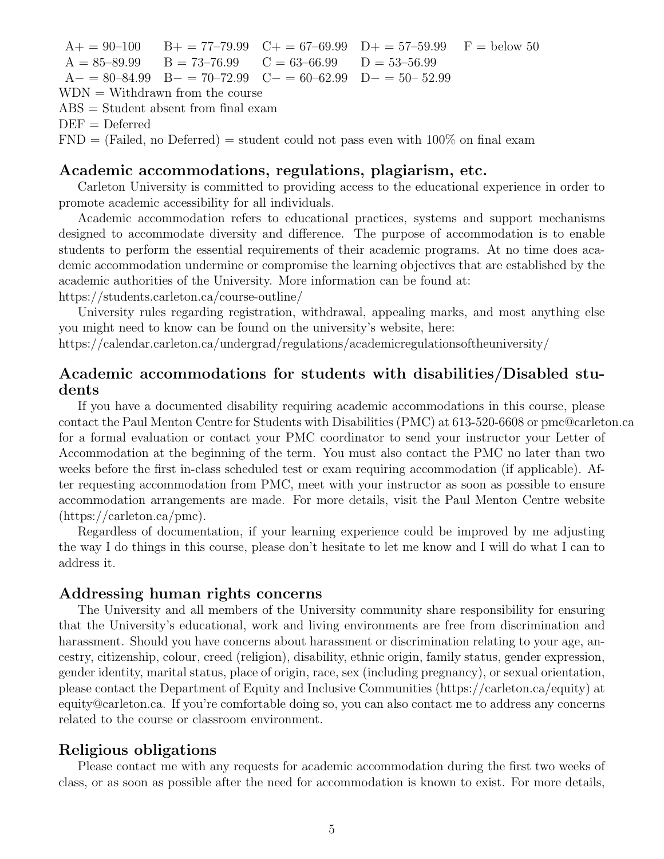$A_+ = 90-100$  B<sub>+</sub> = 77-79.99 C<sub>+</sub> = 67-69.99 D<sub>+</sub> = 57-59.99 F = below 50  $A = 85-89.99$  B = 73-76.99 C = 63-66.99 D = 53-56.99  $A- = 80-84.99$  B− = 70–72.99 C− = 60–62.99 D− = 50– 52.99  $WDN = With drawn from the course$ ABS = Student absent from final exam  $DEF = Deferred$  $FND = (Failed, no Deferred) = student could not pass even with 100\% on final exam$ 

#### Academic accommodations, regulations, plagiarism, etc.

Carleton University is committed to providing access to the educational experience in order to promote academic accessibility for all individuals.

Academic accommodation refers to educational practices, systems and support mechanisms designed to accommodate diversity and difference. The purpose of accommodation is to enable students to perform the essential requirements of their academic programs. At no time does academic accommodation undermine or compromise the learning objectives that are established by the academic authorities of the University. More information can be found at:

https://students.carleton.ca/course-outline/

University rules regarding registration, withdrawal, appealing marks, and most anything else you might need to know can be found on the university's website, here:

https://calendar.carleton.ca/undergrad/regulations/academicregulationsoftheuniversity/

### Academic accommodations for students with disabilities/Disabled students

If you have a documented disability requiring academic accommodations in this course, please contact the Paul Menton Centre for Students with Disabilities (PMC) at 613-520-6608 or pmc@carleton.ca for a formal evaluation or contact your PMC coordinator to send your instructor your Letter of Accommodation at the beginning of the term. You must also contact the PMC no later than two weeks before the first in-class scheduled test or exam requiring accommodation (if applicable). After requesting accommodation from PMC, meet with your instructor as soon as possible to ensure accommodation arrangements are made. For more details, visit the Paul Menton Centre website (https://carleton.ca/pmc).

Regardless of documentation, if your learning experience could be improved by me adjusting the way I do things in this course, please don't hesitate to let me know and I will do what I can to address it.

#### Addressing human rights concerns

The University and all members of the University community share responsibility for ensuring that the University's educational, work and living environments are free from discrimination and harassment. Should you have concerns about harassment or discrimination relating to your age, ancestry, citizenship, colour, creed (religion), disability, ethnic origin, family status, gender expression, gender identity, marital status, place of origin, race, sex (including pregnancy), or sexual orientation, please contact the Department of Equity and Inclusive Communities (https://carleton.ca/equity) at equity@carleton.ca. If you're comfortable doing so, you can also contact me to address any concerns related to the course or classroom environment.

#### Religious obligations

Please contact me with any requests for academic accommodation during the first two weeks of class, or as soon as possible after the need for accommodation is known to exist. For more details,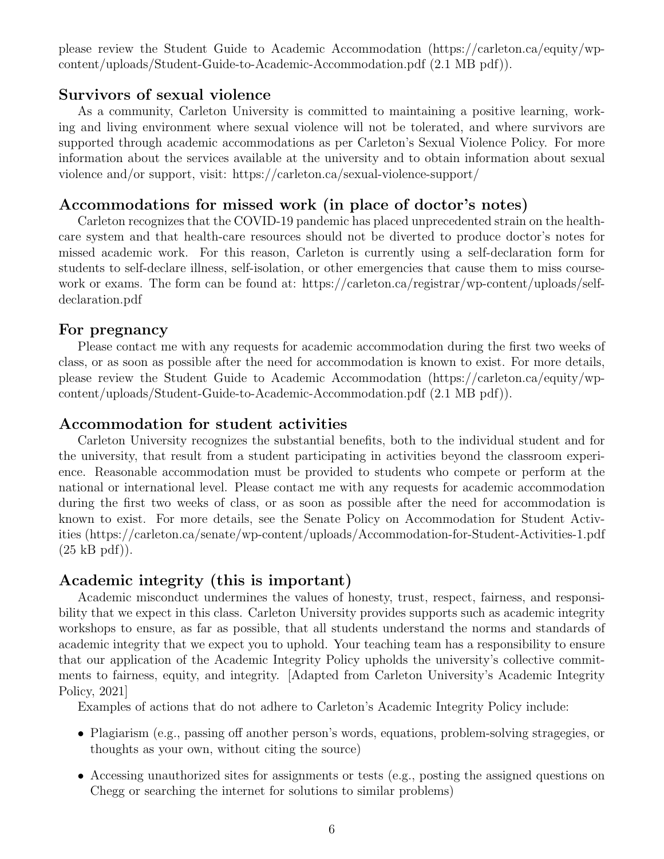please review the Student Guide to Academic Accommodation (https://carleton.ca/equity/wpcontent/uploads/Student-Guide-to-Academic-Accommodation.pdf (2.1 MB pdf)).

#### Survivors of sexual violence

As a community, Carleton University is committed to maintaining a positive learning, working and living environment where sexual violence will not be tolerated, and where survivors are supported through academic accommodations as per Carleton's Sexual Violence Policy. For more information about the services available at the university and to obtain information about sexual violence and/or support, visit: https://carleton.ca/sexual-violence-support/

#### Accommodations for missed work (in place of doctor's notes)

Carleton recognizes that the COVID-19 pandemic has placed unprecedented strain on the healthcare system and that health-care resources should not be diverted to produce doctor's notes for missed academic work. For this reason, Carleton is currently using a self-declaration form for students to self-declare illness, self-isolation, or other emergencies that cause them to miss coursework or exams. The form can be found at: https://carleton.ca/registrar/wp-content/uploads/selfdeclaration.pdf

#### For pregnancy

Please contact me with any requests for academic accommodation during the first two weeks of class, or as soon as possible after the need for accommodation is known to exist. For more details, please review the Student Guide to Academic Accommodation (https://carleton.ca/equity/wpcontent/uploads/Student-Guide-to-Academic-Accommodation.pdf (2.1 MB pdf)).

#### Accommodation for student activities

Carleton University recognizes the substantial benefits, both to the individual student and for the university, that result from a student participating in activities beyond the classroom experience. Reasonable accommodation must be provided to students who compete or perform at the national or international level. Please contact me with any requests for academic accommodation during the first two weeks of class, or as soon as possible after the need for accommodation is known to exist. For more details, see the Senate Policy on Accommodation for Student Activities (https://carleton.ca/senate/wp-content/uploads/Accommodation-for-Student-Activities-1.pdf  $(25$  kB pdf)).

#### Academic integrity (this is important)

Academic misconduct undermines the values of honesty, trust, respect, fairness, and responsibility that we expect in this class. Carleton University provides supports such as academic integrity workshops to ensure, as far as possible, that all students understand the norms and standards of academic integrity that we expect you to uphold. Your teaching team has a responsibility to ensure that our application of the Academic Integrity Policy upholds the university's collective commitments to fairness, equity, and integrity. [Adapted from Carleton University's Academic Integrity Policy, 2021]

Examples of actions that do not adhere to Carleton's Academic Integrity Policy include:

- Plagiarism (e.g., passing off another person's words, equations, problem-solving stragegies, or thoughts as your own, without citing the source)
- Accessing unauthorized sites for assignments or tests (e.g., posting the assigned questions on Chegg or searching the internet for solutions to similar problems)